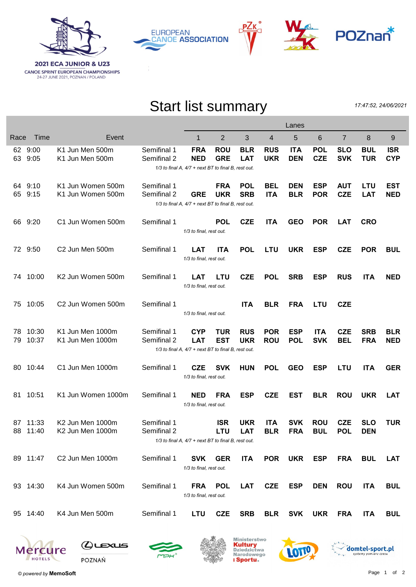







## Start list summary

17:47:52, 24/06/2021

|                                                     |                                                     |                    |             | Lanes                                                             |            |            |            |            |            |            |            |            |
|-----------------------------------------------------|-----------------------------------------------------|--------------------|-------------|-------------------------------------------------------------------|------------|------------|------------|------------|------------|------------|------------|------------|
| Race                                                | Time                                                | Event              |             | 1                                                                 | 2          | 3          | 4          | 5          | 6          | 7          | 8          | 9          |
|                                                     | 62 9:00                                             | K1 Jun Men 500m    | Semifinal 1 | <b>FRA</b>                                                        | <b>ROU</b> | <b>BLR</b> | <b>RUS</b> | <b>ITA</b> | <b>POL</b> | <b>SLO</b> | <b>BUL</b> | <b>ISR</b> |
|                                                     | 63 9:05                                             | K1 Jun Men 500m    | Semifinal 2 | <b>NED</b>                                                        | <b>GRE</b> | <b>LAT</b> | <b>UKR</b> | <b>DEN</b> | <b>CZE</b> | <b>SVK</b> | <b>TUR</b> | <b>CYP</b> |
|                                                     | 1/3 to final A, 4/7 + next BT to final B, rest out. |                    |             |                                                                   |            |            |            |            |            |            |            |            |
|                                                     | 64 9:10                                             | K1 Jun Women 500m  | Semifinal 1 |                                                                   | <b>FRA</b> | <b>POL</b> | <b>BEL</b> | <b>DEN</b> | <b>ESP</b> | <b>AUT</b> | LTU        | <b>EST</b> |
|                                                     | 65 9:15                                             | K1 Jun Women 500m  | Semifinal 2 | <b>GRE</b>                                                        | <b>UKR</b> | <b>SRB</b> | <b>ITA</b> | <b>BLR</b> | <b>POR</b> | <b>CZE</b> | <b>LAT</b> | <b>NED</b> |
|                                                     | 1/3 to final A, 4/7 + next BT to final B, rest out. |                    |             |                                                                   |            |            |            |            |            |            |            |            |
| 66                                                  | 9:20                                                | C1 Jun Women 500m  | Semifinal 1 |                                                                   | <b>POL</b> | <b>CZE</b> | <b>ITA</b> | <b>GEO</b> | <b>POR</b> | <b>LAT</b> | <b>CRO</b> |            |
|                                                     |                                                     |                    |             | 1/3 to final, rest out.                                           |            |            |            |            |            |            |            |            |
|                                                     | 72 9:50                                             | C2 Jun Men 500m    | Semifinal 1 | <b>LAT</b>                                                        | <b>ITA</b> | <b>POL</b> | LTU        | <b>UKR</b> | <b>ESP</b> | <b>CZE</b> | <b>POR</b> | <b>BUL</b> |
|                                                     |                                                     |                    |             | 1/3 to final, rest out.                                           |            |            |            |            |            |            |            |            |
| 74                                                  | 10:00                                               | K2 Jun Women 500m  | Semifinal 1 | <b>LAT</b>                                                        | LTU        | <b>CZE</b> | <b>POL</b> | <b>SRB</b> | <b>ESP</b> | <b>RUS</b> | <b>ITA</b> | <b>NED</b> |
|                                                     |                                                     |                    |             | 1/3 to final, rest out.                                           |            |            |            |            |            |            |            |            |
|                                                     |                                                     |                    |             |                                                                   |            |            |            |            |            |            |            |            |
| 75                                                  | 10:05                                               | C2 Jun Women 500m  | Semifinal 1 |                                                                   |            | <b>ITA</b> | <b>BLR</b> | <b>FRA</b> | <b>LTU</b> | <b>CZE</b> |            |            |
| 1/3 to final, rest out.                             |                                                     |                    |             |                                                                   |            |            |            |            |            |            |            |            |
| 78                                                  | 10:30                                               | K1 Jun Men 1000m   | Semifinal 1 | <b>CYP</b>                                                        | <b>TUR</b> | <b>RUS</b> | <b>POR</b> | <b>ESP</b> | <b>ITA</b> | <b>CZE</b> | <b>SRB</b> | <b>BLR</b> |
| 79                                                  | 10:37                                               | K1 Jun Men 1000m   | Semifinal 2 | <b>LAT</b><br>1/3 to final A, 4/7 + next BT to final B, rest out. | <b>EST</b> | <b>UKR</b> | <b>ROU</b> | <b>POL</b> | <b>SVK</b> | <b>BEL</b> | <b>FRA</b> | <b>NED</b> |
|                                                     |                                                     |                    |             |                                                                   |            |            |            |            |            |            |            |            |
|                                                     | 80 10:44                                            | C1 Jun Men 1000m   | Semifinal 1 | <b>CZE</b>                                                        | <b>SVK</b> | <b>HUN</b> | <b>POL</b> | <b>GEO</b> | <b>ESP</b> | <b>LTU</b> | <b>ITA</b> | <b>GER</b> |
|                                                     |                                                     |                    |             | 1/3 to final, rest out.                                           |            |            |            |            |            |            |            |            |
| 81                                                  | 10:51                                               | K1 Jun Women 1000m | Semifinal 1 | <b>NED</b>                                                        | <b>FRA</b> | <b>ESP</b> | <b>CZE</b> | <b>EST</b> | <b>BLR</b> | <b>ROU</b> | <b>UKR</b> | <b>LAT</b> |
|                                                     |                                                     |                    |             | 1/3 to final, rest out.                                           |            |            |            |            |            |            |            |            |
|                                                     | 87 11:33                                            | K2 Jun Men 1000m   | Semifinal 1 |                                                                   | <b>ISR</b> | <b>UKR</b> | <b>ITA</b> | <b>SVK</b> | <b>ROU</b> | <b>CZE</b> | <b>SLO</b> | <b>TUR</b> |
|                                                     | 88 11:40                                            | K2 Jun Men 1000m   | Semifinal 2 |                                                                   | <b>LTU</b> | <b>LAT</b> | <b>BLR</b> | <b>FRA</b> | <b>BUL</b> | <b>POL</b> | <b>DEN</b> |            |
| 1/3 to final A, 4/7 + next BT to final B, rest out. |                                                     |                    |             |                                                                   |            |            |            |            |            |            |            |            |
|                                                     | 89 11:47                                            | C2 Jun Men 1000m   | Semifinal 1 | SVK                                                               | <b>GER</b> | <b>ITA</b> | <b>POR</b> | <b>UKR</b> | <b>ESP</b> | <b>FRA</b> | <b>BUL</b> | <b>LAT</b> |
|                                                     |                                                     |                    |             | 1/3 to final, rest out.                                           |            |            |            |            |            |            |            |            |
|                                                     |                                                     |                    |             |                                                                   |            |            |            |            |            |            |            |            |
|                                                     | 93 14:30                                            | K4 Jun Women 500m  | Semifinal 1 | <b>FRA</b><br>1/3 to final, rest out.                             | <b>POL</b> | LAT        | <b>CZE</b> | <b>ESP</b> | <b>DEN</b> | <b>ROU</b> | <b>ITA</b> | <b>BUL</b> |
|                                                     |                                                     |                    |             |                                                                   |            |            |            |            |            |            |            |            |
|                                                     | 95 14:40                                            | K4 Jun Men 500m    | Semifinal 1 | LTU                                                               | <b>CZE</b> | <b>SRB</b> | <b>BLR</b> |            | SVK UKR    | <b>FRA</b> | <b>ITA</b> | <b>BUL</b> |
|                                                     |                                                     |                    |             |                                                                   |            |            |            |            |            |            |            |            |
|                                                     |                                                     |                    |             |                                                                   |            |            |            |            |            |            |            |            |

**Mercure** 

 $Q$